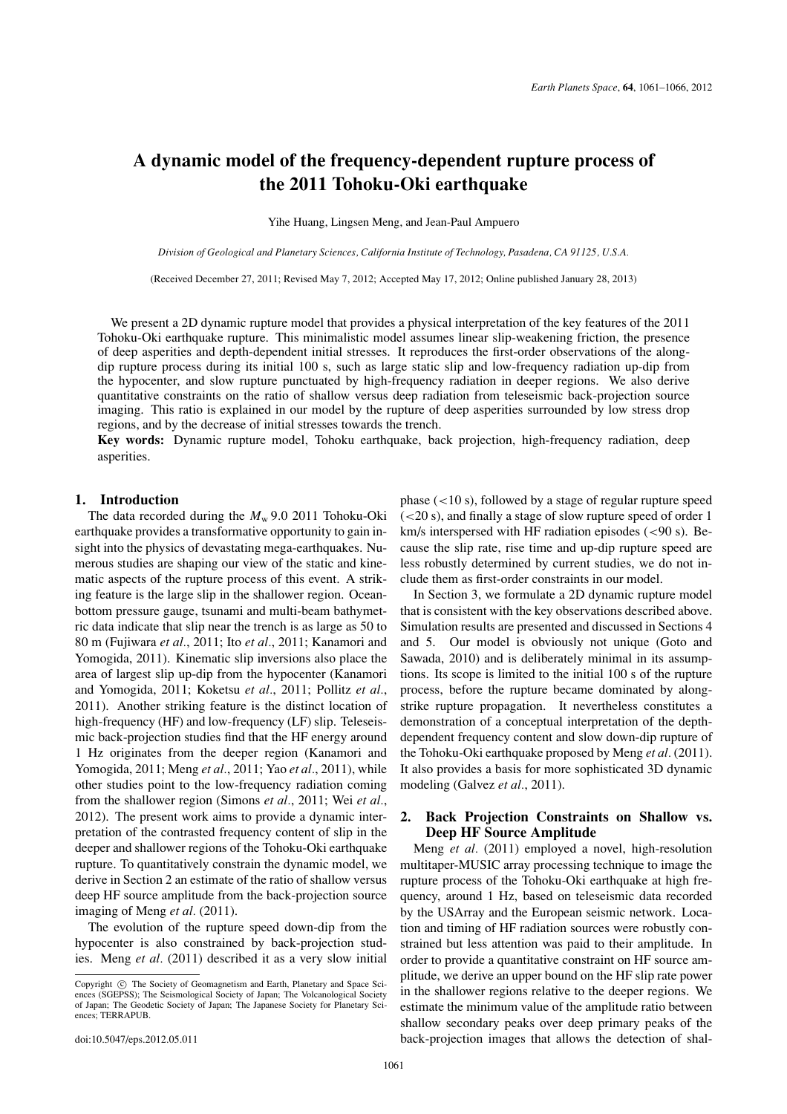# **A dynamic model of the frequency-dependent rupture process of the 2011 Tohoku-Oki earthquake**

Yihe Huang, Lingsen Meng, and Jean-Paul Ampuero

*Division of Geological and Planetary Sciences, California Institute of Technology, Pasadena, CA 91125, U.S.A.*

(Received December 27, 2011; Revised May 7, 2012; Accepted May 17, 2012; Online published January 28, 2013)

We present a 2D dynamic rupture model that provides a physical interpretation of the key features of the 2011 Tohoku-Oki earthquake rupture. This minimalistic model assumes linear slip-weakening friction, the presence of deep asperities and depth-dependent initial stresses. It reproduces the first-order observations of the alongdip rupture process during its initial 100 s, such as large static slip and low-frequency radiation up-dip from the hypocenter, and slow rupture punctuated by high-frequency radiation in deeper regions. We also derive quantitative constraints on the ratio of shallow versus deep radiation from teleseismic back-projection source imaging. This ratio is explained in our model by the rupture of deep asperities surrounded by low stress drop regions, and by the decrease of initial stresses towards the trench.

**Key words:** Dynamic rupture model, Tohoku earthquake, back projection, high-frequency radiation, deep asperities.

### **1. Introduction**

The data recorded during the  $M_{\rm w}$  9.0 2011 Tohoku-Oki earthquake provides a transformative opportunity to gain insight into the physics of devastating mega-earthquakes. Numerous studies are shaping our view of the static and kinematic aspects of the rupture process of this event. A striking feature is the large slip in the shallower region. Oceanbottom pressure gauge, tsunami and multi-beam bathymetric data indicate that slip near the trench is as large as 50 to 80 m (Fujiwara *et al.*, 2011; Ito *et al.*, 2011; Kanamori and Yomogida, 2011). Kinematic slip inversions also place the area of largest slip up-dip from the hypocenter (Kanamori and Yomogida, 2011; Koketsu *et al.*, 2011; Pollitz *et al.*, 2011). Another striking feature is the distinct location of high-frequency (HF) and low-frequency (LF) slip. Teleseismic back-projection studies find that the HF energy around 1 Hz originates from the deeper region (Kanamori and Yomogida, 2011; Meng *et al.*, 2011; Yao *et al.*, 2011), while other studies point to the low-frequency radiation coming from the shallower region (Simons *et al.*, 2011; Wei *et al.*, 2012). The present work aims to provide a dynamic interpretation of the contrasted frequency content of slip in the deeper and shallower regions of the Tohoku-Oki earthquake rupture. To quantitatively constrain the dynamic model, we derive in Section 2 an estimate of the ratio of shallow versus deep HF source amplitude from the back-projection source imaging of Meng *et al.* (2011).

The evolution of the rupture speed down-dip from the hypocenter is also constrained by back-projection studies. Meng *et al.* (2011) described it as a very slow initial

phase  $(<10 s)$ , followed by a stage of regular rupture speed  $(<20 s$ ), and finally a stage of slow rupture speed of order 1 km/s interspersed with HF radiation episodes  $(< 90 \text{ s})$ . Because the slip rate, rise time and up-dip rupture speed are less robustly determined by current studies, we do not include them as first-order constraints in our model.

In Section 3, we formulate a 2D dynamic rupture model that is consistent with the key observations described above. Simulation results are presented and discussed in Sections 4 and 5. Our model is obviously not unique (Goto and Sawada, 2010) and is deliberately minimal in its assumptions. Its scope is limited to the initial 100 s of the rupture process, before the rupture became dominated by alongstrike rupture propagation. It nevertheless constitutes a demonstration of a conceptual interpretation of the depthdependent frequency content and slow down-dip rupture of the Tohoku-Oki earthquake proposed by Meng *et al.* (2011). It also provides a basis for more sophisticated 3D dynamic modeling (Galvez *et al.*, 2011).

# **2. Back Projection Constraints on Shallow vs. Deep HF Source Amplitude**

Meng *et al.* (2011) employed a novel, high-resolution multitaper-MUSIC array processing technique to image the rupture process of the Tohoku-Oki earthquake at high frequency, around 1 Hz, based on teleseismic data recorded by the USArray and the European seismic network. Location and timing of HF radiation sources were robustly constrained but less attention was paid to their amplitude. In order to provide a quantitative constraint on HF source amplitude, we derive an upper bound on the HF slip rate power in the shallower regions relative to the deeper regions. We estimate the minimum value of the amplitude ratio between shallow secondary peaks over deep primary peaks of the back-projection images that allows the detection of shal-

Copyright  $\odot$  The Society of Geomagnetism and Earth, Planetary and Space Sciences (SGEPSS); The Seismological Society of Japan; The Volcanological Society of Japan; The Geodetic Society of Japan; The Japanese Society for Planetary Sciences; TERRAPUB.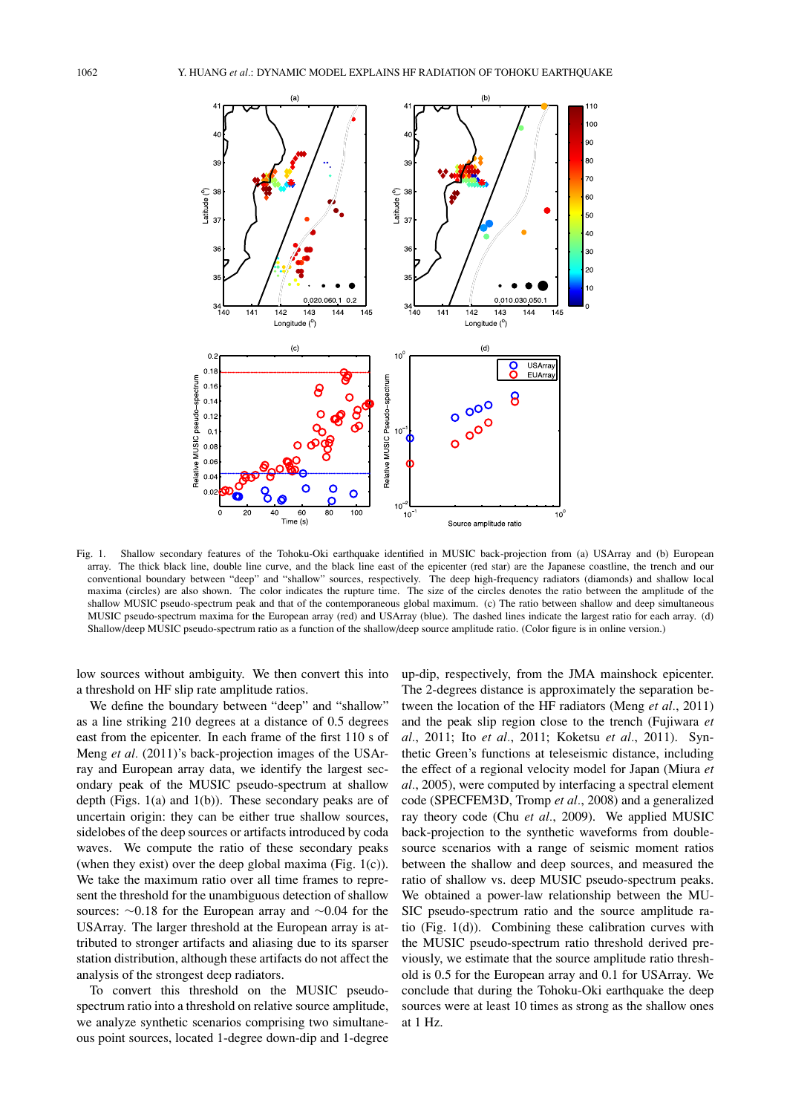

Fig. 1. Shallow secondary features of the Tohoku-Oki earthquake identified in MUSIC back-projection from (a) USArray and (b) European array. The thick black line, double line curve, and the black line east of the epicenter (red star) are the Japanese coastline, the trench and our conventional boundary between "deep" and "shallow" sources, respectively. The deep high-frequency radiators (diamonds) and shallow local maxima (circles) are also shown. The color indicates the rupture time. The size of the circles denotes the ratio between the amplitude of the shallow MUSIC pseudo-spectrum peak and that of the contemporaneous global maximum. (c) The ratio between shallow and deep simultaneous MUSIC pseudo-spectrum maxima for the European array (red) and USArray (blue). The dashed lines indicate the largest ratio for each array. (d) Shallow/deep MUSIC pseudo-spectrum ratio as a function of the shallow/deep source amplitude ratio. (Color figure is in online version.)

low sources without ambiguity. We then convert this into a threshold on HF slip rate amplitude ratios.

We define the boundary between "deep" and "shallow" as a line striking 210 degrees at a distance of 0.5 degrees east from the epicenter. In each frame of the first 110 s of Meng *et al.* (2011)'s back-projection images of the USArray and European array data, we identify the largest secondary peak of the MUSIC pseudo-spectrum at shallow depth (Figs.  $1(a)$  and  $1(b)$ ). These secondary peaks are of uncertain origin: they can be either true shallow sources, sidelobes of the deep sources or artifacts introduced by coda waves. We compute the ratio of these secondary peaks (when they exist) over the deep global maxima (Fig.  $1(c)$ ). We take the maximum ratio over all time frames to represent the threshold for the unambiguous detection of shallow sources: ∼0.18 for the European array and ∼0.04 for the USArray. The larger threshold at the European array is attributed to stronger artifacts and aliasing due to its sparser station distribution, although these artifacts do not affect the analysis of the strongest deep radiators.

To convert this threshold on the MUSIC pseudospectrum ratio into a threshold on relative source amplitude, we analyze synthetic scenarios comprising two simultaneous point sources, located 1-degree down-dip and 1-degree up-dip, respectively, from the JMA mainshock epicenter. The 2-degrees distance is approximately the separation between the location of the HF radiators (Meng *et al.*, 2011) and the peak slip region close to the trench (Fujiwara *et al.*, 2011; Ito *et al.*, 2011; Koketsu *et al.*, 2011). Synthetic Green's functions at teleseismic distance, including the effect of a regional velocity model for Japan (Miura *et al.*, 2005), were computed by interfacing a spectral element code (SPECFEM3D, Tromp *et al.*, 2008) and a generalized ray theory code (Chu *et al.*, 2009). We applied MUSIC back-projection to the synthetic waveforms from doublesource scenarios with a range of seismic moment ratios between the shallow and deep sources, and measured the ratio of shallow vs. deep MUSIC pseudo-spectrum peaks. We obtained a power-law relationship between the MU-SIC pseudo-spectrum ratio and the source amplitude ratio (Fig. 1(d)). Combining these calibration curves with the MUSIC pseudo-spectrum ratio threshold derived previously, we estimate that the source amplitude ratio threshold is 0.5 for the European array and 0.1 for USArray. We conclude that during the Tohoku-Oki earthquake the deep sources were at least 10 times as strong as the shallow ones at 1 Hz.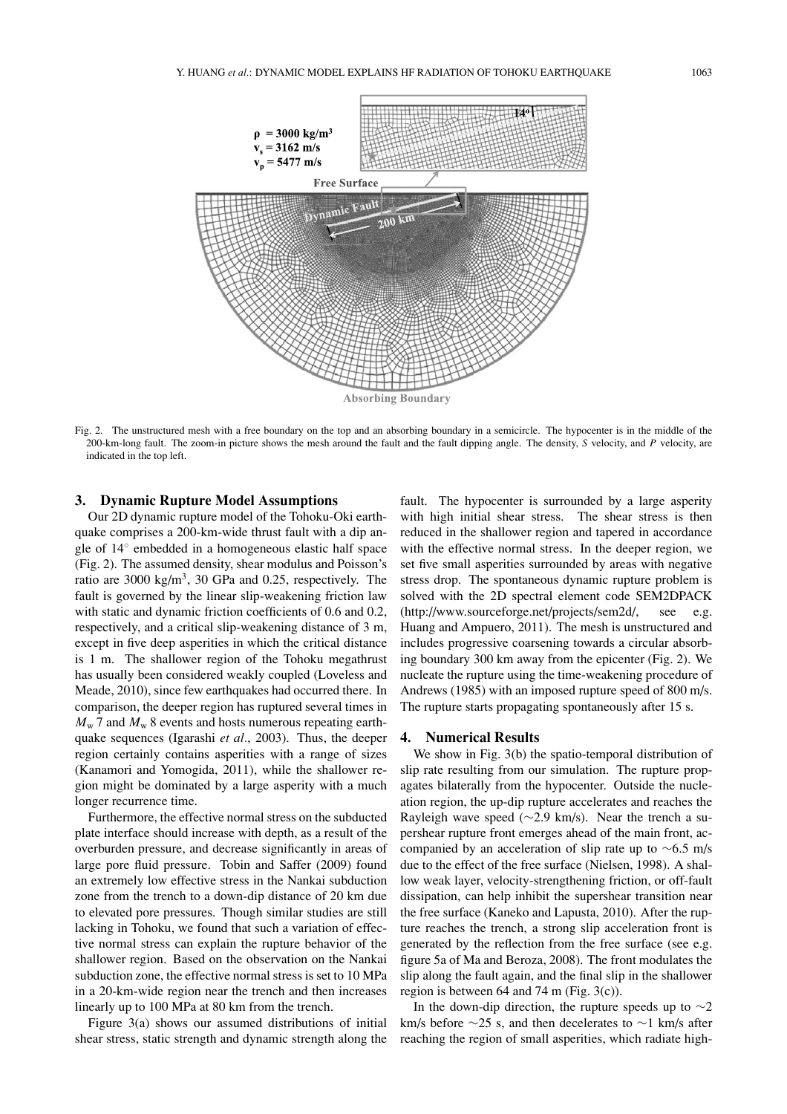

Fig. 2. The unstructured mesh with a free boundary on the top and an absorbing boundary in a semicircle. The hypocenter is in the middle of the 200-km-long fault. The zoom-in picture shows the mesh around the fault and the fault dipping angle. The density, *S* velocity, and *P* velocity, are indicated in the top left.

## **3. Dynamic Rupture Model Assumptions**

Our 2D dynamic rupture model of the Tohoku-Oki earthquake comprises a 200-km-wide thrust fault with a dip angle of 14◦ embedded in a homogeneous elastic half space (Fig. 2). The assumed density, shear modulus and Poisson's ratio are 3000 kg/m<sup>3</sup>, 30 GPa and 0.25, respectively. The fault is governed by the linear slip-weakening friction law with static and dynamic friction coefficients of 0.6 and 0.2, respectively, and a critical slip-weakening distance of 3 m, except in five deep asperities in which the critical distance is 1 m. The shallower region of the Tohoku megathrust has usually been considered weakly coupled (Loveless and Meade, 2010), since few earthquakes had occurred there. In comparison, the deeper region has ruptured several times in  $M_{\rm w}$  7 and  $M_{\rm w}$  8 events and hosts numerous repeating earthquake sequences (Igarashi *et al.*, 2003). Thus, the deeper region certainly contains asperities with a range of sizes (Kanamori and Yomogida, 2011), while the shallower region might be dominated by a large asperity with a much longer recurrence time.

Furthermore, the effective normal stress on the subducted plate interface should increase with depth, as a result of the overburden pressure, and decrease significantly in areas of large pore fluid pressure. Tobin and Saffer (2009) found an extremely low effective stress in the Nankai subduction zone from the trench to a down-dip distance of 20 km due to elevated pore pressures. Though similar studies are still lacking in Tohoku, we found that such a variation of effective normal stress can explain the rupture behavior of the shallower region. Based on the observation on the Nankai subduction zone, the effective normal stress is set to 10 MPa in a 20-km-wide region near the trench and then increases linearly up to 100 MPa at 80 km from the trench.

Figure 3(a) shows our assumed distributions of initial shear stress, static strength and dynamic strength along the

fault. The hypocenter is surrounded by a large asperity with high initial shear stress. The shear stress is then reduced in the shallower region and tapered in accordance with the effective normal stress. In the deeper region, we set five small asperities surrounded by areas with negative stress drop. The spontaneous dynamic rupture problem is solved with the 2D spectral element code SEM2DPACK (http://www.sourceforge.net/projects/sem2d/, see e.g. Huang and Ampuero, 2011). The mesh is unstructured and includes progressive coarsening towards a circular absorbing boundary 300 km away from the epicenter (Fig. 2). We nucleate the rupture using the time-weakening procedure of Andrews (1985) with an imposed rupture speed of 800 m/s. The rupture starts propagating spontaneously after 15 s.

#### **4. Numerical Results**

We show in Fig. 3(b) the spatio-temporal distribution of slip rate resulting from our simulation. The rupture propagates bilaterally from the hypocenter. Outside the nucleation region, the up-dip rupture accelerates and reaches the Rayleigh wave speed (∼2.9 km/s). Near the trench a supershear rupture front emerges ahead of the main front, accompanied by an acceleration of slip rate up to ∼6.5 m/s due to the effect of the free surface (Nielsen, 1998). A shallow weak layer, velocity-strengthening friction, or off-fault dissipation, can help inhibit the supershear transition near the free surface (Kaneko and Lapusta, 2010). After the rupture reaches the trench, a strong slip acceleration front is generated by the reflection from the free surface (see e.g. figure 5a of Ma and Beroza, 2008). The front modulates the slip along the fault again, and the final slip in the shallower region is between 64 and 74 m (Fig. 3(c)).

In the down-dip direction, the rupture speeds up to  $\sim$ 2 km/s before  $\sim$ 25 s, and then decelerates to  $\sim$ 1 km/s after reaching the region of small asperities, which radiate high-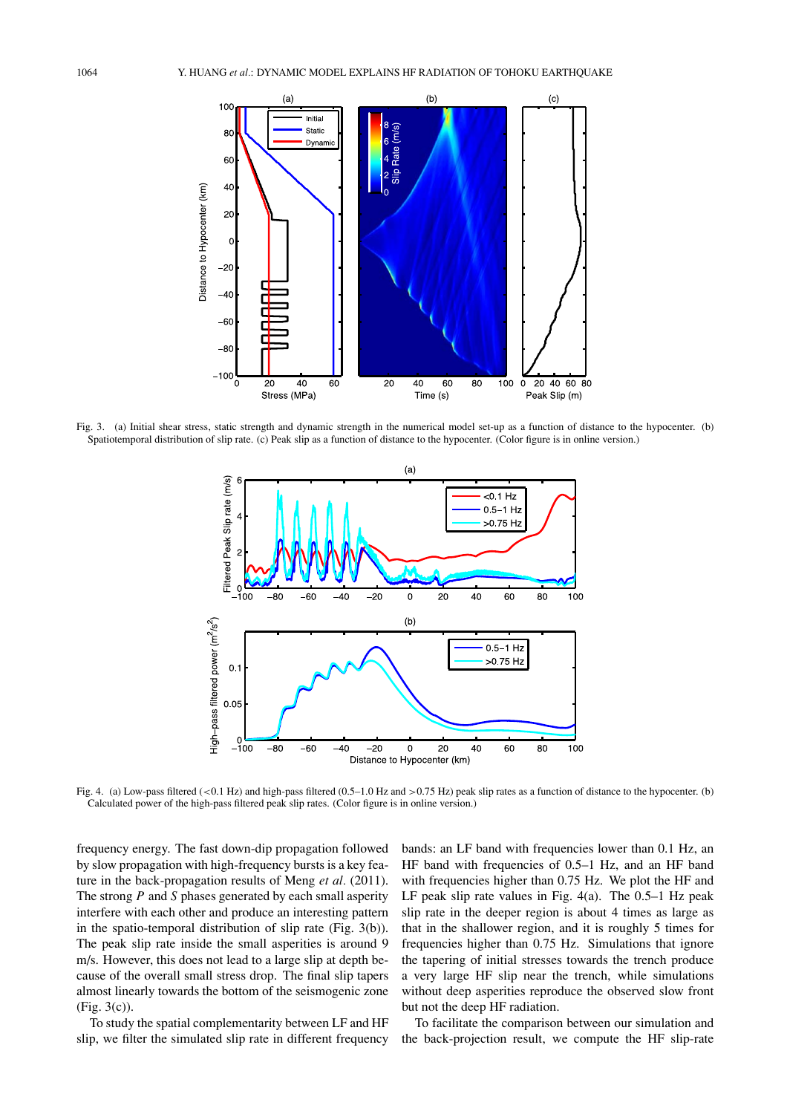

Fig. 3. (a) Initial shear stress, static strength and dynamic strength in the numerical model set-up as a function of distance to the hypocenter. (b) Spatiotemporal distribution of slip rate. (c) Peak slip as a function of distance to the hypocenter. (Color figure is in online version.)



Fig. 4. (a) Low-pass filtered (<0.1 Hz) and high-pass filtered (0.5–1.0 Hz and >0.75 Hz) peak slip rates as a function of distance to the hypocenter. (b) Calculated power of the high-pass filtered peak slip rates. (Color figure is in online version.)

frequency energy. The fast down-dip propagation followed by slow propagation with high-frequency bursts is a key feature in the back-propagation results of Meng *et al.* (2011). The strong *P* and *S* phases generated by each small asperity interfere with each other and produce an interesting pattern in the spatio-temporal distribution of slip rate (Fig. 3(b)). The peak slip rate inside the small asperities is around 9 m/s. However, this does not lead to a large slip at depth because of the overall small stress drop. The final slip tapers almost linearly towards the bottom of the seismogenic zone (Fig. 3(c)).

To study the spatial complementarity between LF and HF slip, we filter the simulated slip rate in different frequency bands: an LF band with frequencies lower than 0.1 Hz, an HF band with frequencies of 0.5–1 Hz, and an HF band with frequencies higher than 0.75 Hz. We plot the HF and LF peak slip rate values in Fig. 4(a). The 0.5–1 Hz peak slip rate in the deeper region is about 4 times as large as that in the shallower region, and it is roughly 5 times for frequencies higher than 0.75 Hz. Simulations that ignore the tapering of initial stresses towards the trench produce a very large HF slip near the trench, while simulations without deep asperities reproduce the observed slow front but not the deep HF radiation.

To facilitate the comparison between our simulation and the back-projection result, we compute the HF slip-rate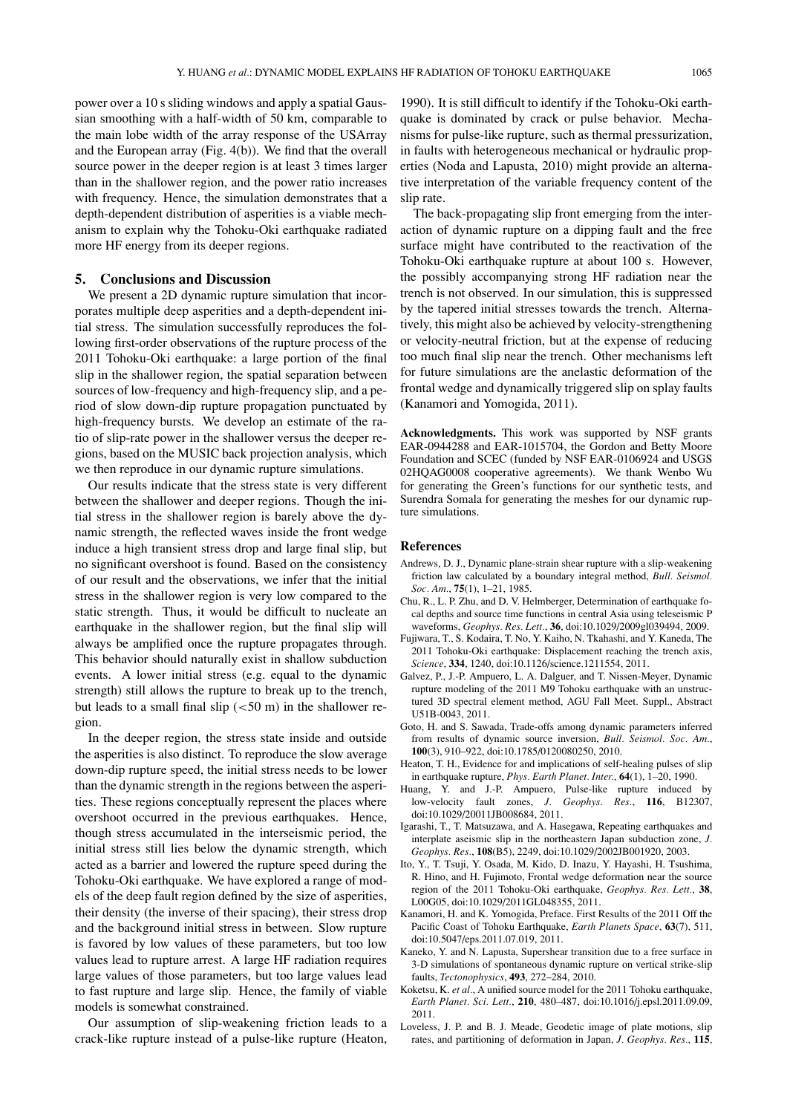power over a 10 s sliding windows and apply a spatial Gaussian smoothing with a half-width of 50 km, comparable to the main lobe width of the array response of the USArray and the European array (Fig. 4(b)). We find that the overall source power in the deeper region is at least 3 times larger than in the shallower region, and the power ratio increases with frequency. Hence, the simulation demonstrates that a depth-dependent distribution of asperities is a viable mechanism to explain why the Tohoku-Oki earthquake radiated more HF energy from its deeper regions.

#### **5. Conclusions and Discussion**

We present a 2D dynamic rupture simulation that incorporates multiple deep asperities and a depth-dependent initial stress. The simulation successfully reproduces the following first-order observations of the rupture process of the 2011 Tohoku-Oki earthquake: a large portion of the final slip in the shallower region, the spatial separation between sources of low-frequency and high-frequency slip, and a period of slow down-dip rupture propagation punctuated by high-frequency bursts. We develop an estimate of the ratio of slip-rate power in the shallower versus the deeper regions, based on the MUSIC back projection analysis, which we then reproduce in our dynamic rupture simulations.

Our results indicate that the stress state is very different between the shallower and deeper regions. Though the initial stress in the shallower region is barely above the dynamic strength, the reflected waves inside the front wedge induce a high transient stress drop and large final slip, but no significant overshoot is found. Based on the consistency of our result and the observations, we infer that the initial stress in the shallower region is very low compared to the static strength. Thus, it would be difficult to nucleate an earthquake in the shallower region, but the final slip will always be amplified once the rupture propagates through. This behavior should naturally exist in shallow subduction events. A lower initial stress (e.g. equal to the dynamic strength) still allows the rupture to break up to the trench, but leads to a small final slip  $(<50 \text{ m})$  in the shallower region.

In the deeper region, the stress state inside and outside the asperities is also distinct. To reproduce the slow average down-dip rupture speed, the initial stress needs to be lower than the dynamic strength in the regions between the asperities. These regions conceptually represent the places where overshoot occurred in the previous earthquakes. Hence, though stress accumulated in the interseismic period, the initial stress still lies below the dynamic strength, which acted as a barrier and lowered the rupture speed during the Tohoku-Oki earthquake. We have explored a range of models of the deep fault region defined by the size of asperities, their density (the inverse of their spacing), their stress drop and the background initial stress in between. Slow rupture is favored by low values of these parameters, but too low values lead to rupture arrest. A large HF radiation requires large values of those parameters, but too large values lead to fast rupture and large slip. Hence, the family of viable models is somewhat constrained.

Our assumption of slip-weakening friction leads to a crack-like rupture instead of a pulse-like rupture (Heaton,

1990). It is still difficult to identify if the Tohoku-Oki earthquake is dominated by crack or pulse behavior. Mechanisms for pulse-like rupture, such as thermal pressurization, in faults with heterogeneous mechanical or hydraulic properties (Noda and Lapusta, 2010) might provide an alternative interpretation of the variable frequency content of the slip rate.

The back-propagating slip front emerging from the interaction of dynamic rupture on a dipping fault and the free surface might have contributed to the reactivation of the Tohoku-Oki earthquake rupture at about 100 s. However, the possibly accompanying strong HF radiation near the trench is not observed. In our simulation, this is suppressed by the tapered initial stresses towards the trench. Alternatively, this might also be achieved by velocity-strengthening or velocity-neutral friction, but at the expense of reducing too much final slip near the trench. Other mechanisms left for future simulations are the anelastic deformation of the frontal wedge and dynamically triggered slip on splay faults (Kanamori and Yomogida, 2011).

**Acknowledgments.** This work was supported by NSF grants EAR-0944288 and EAR-1015704, the Gordon and Betty Moore Foundation and SCEC (funded by NSF EAR-0106924 and USGS 02HQAG0008 cooperative agreements). We thank Wenbo Wu for generating the Green's functions for our synthetic tests, and Surendra Somala for generating the meshes for our dynamic rupture simulations.

### **References**

- Andrews, D. J., Dynamic plane-strain shear rupture with a slip-weakening friction law calculated by a boundary integral method, *Bull. Seismol. Soc. Am.*, **75**(1), 1–21, 1985.
- Chu, R., L. P. Zhu, and D. V. Helmberger, Determination of earthquake focal depths and source time functions in central Asia using teleseismic P waveforms, *Geophys. Res. Lett.*, **36**, doi:10.1029/2009gl039494, 2009.
- Fujiwara, T., S. Kodaira, T. No, Y. Kaiho, N. Tkahashi, and Y. Kaneda, The 2011 Tohoku-Oki earthquake: Displacement reaching the trench axis, *Science*, **334**, 1240, doi:10.1126/science.1211554, 2011.
- Galvez, P., J.-P. Ampuero, L. A. Dalguer, and T. Nissen-Meyer, Dynamic rupture modeling of the 2011 M9 Tohoku earthquake with an unstructured 3D spectral element method, AGU Fall Meet. Suppl., Abstract U51B-0043, 2011.
- Goto, H. and S. Sawada, Trade-offs among dynamic parameters inferred from results of dynamic source inversion, *Bull. Seismol. Soc. Am.*, **100**(3), 910–922, doi:10.1785/0120080250, 2010.
- Heaton, T. H., Evidence for and implications of self-healing pulses of slip in earthquake rupture, *Phys. Earth Planet. Inter.*, **64**(1), 1–20, 1990.
- Huang, Y. and J.-P. Ampuero, Pulse-like rupture induced by low-velocity fault zones, *J. Geophys. Res.*, **116**, B12307, doi:10.1029/20011JB008684, 2011.
- Igarashi, T., T. Matsuzawa, and A. Hasegawa, Repeating earthquakes and interplate aseismic slip in the northeastern Japan subduction zone, *J. Geophys. Res.*, **108**(B5), 2249, doi:10.1029/2002JB001920, 2003.
- Ito, Y., T. Tsuji, Y. Osada, M. Kido, D. Inazu, Y. Hayashi, H. Tsushima, R. Hino, and H. Fujimoto, Frontal wedge deformation near the source region of the 2011 Tohoku-Oki earthquake, *Geophys. Res. Lett.*, **38**, L00G05, doi:10.1029/2011GL048355, 2011.
- Kanamori, H. and K. Yomogida, Preface. First Results of the 2011 Off the Pacific Coast of Tohoku Earthquake, *Earth Planets Space*, **63**(7), 511, doi:10.5047/eps.2011.07.019, 2011.
- Kaneko, Y. and N. Lapusta, Supershear transition due to a free surface in 3-D simulations of spontaneous dynamic rupture on vertical strike-slip faults, *Tectonophysics*, **493**, 272–284, 2010.
- Koketsu, K. *et al.*, A unified source model for the 2011 Tohoku earthquake, *Earth Planet. Sci. Lett.*, **210**, 480–487, doi:10.1016/j.epsl.2011.09.09, 2011.
- Loveless, J. P. and B. J. Meade, Geodetic image of plate motions, slip rates, and partitioning of deformation in Japan, *J. Geophys. Res.*, **115**,